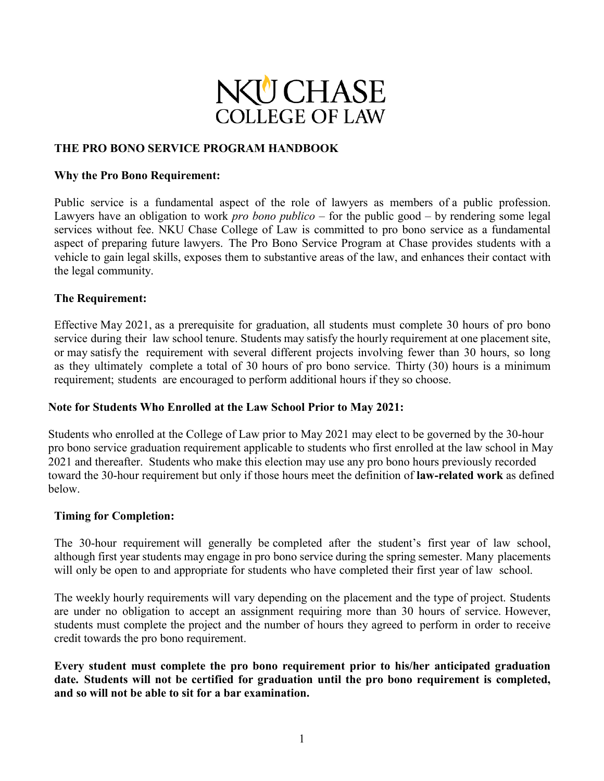

### **THE PRO BONO SERVICE PROGRAM HANDBOOK**

#### **Why the Pro Bono Requirement:**

Public service is a fundamental aspect of the role of lawyers as members of a public profession. Lawyers have an obligation to work *pro bono publico* – for the public good – by rendering some legal services without fee. NKU Chase College of Law is committed to pro bono service as a fundamental aspect of preparing future lawyers. The Pro Bono Service Program at Chase provides students with a vehicle to gain legal skills, exposes them to substantive areas of the law, and enhances their contact with the legal community.

#### **The Requirement:**

Effective May 2021, as a prerequisite for graduation, all students must complete 30 hours of pro bono service during their law school tenure. Students may satisfy the hourly requirement at one placement site, or may satisfy the requirement with several different projects involving fewer than 30 hours, so long as they ultimately complete a total of 30 hours of pro bono service. Thirty (30) hours is a minimum requirement; students are encouraged to perform additional hours if they so choose.

### **Note for Students Who Enrolled at the Law School Prior to May 2021:**

Students who enrolled at the College of Law prior to May 2021 may elect to be governed by the 30-hour pro bono service graduation requirement applicable to students who first enrolled at the law school in May 2021 and thereafter. Students who make this election may use any pro bono hours previously recorded toward the 30-hour requirement but only if those hours meet the definition of **law-related work** as defined below.

#### **Timing for Completion:**

The 30-hour requirement will generally be completed after the student's first year of law school, although first year students may engage in pro bono service during the spring semester. Many placements will only be open to and appropriate for students who have completed their first year of law school.

The weekly hourly requirements will vary depending on the placement and the type of project. Students are under no obligation to accept an assignment requiring more than 30 hours of service. However, students must complete the project and the number of hours they agreed to perform in order to receive credit towards the pro bono requirement.

**Every student must complete the pro bono requirement prior to his/her anticipated graduation date. Students will not be certified for graduation until the pro bono requirement is completed, and so will not be able to sit for a bar examination.**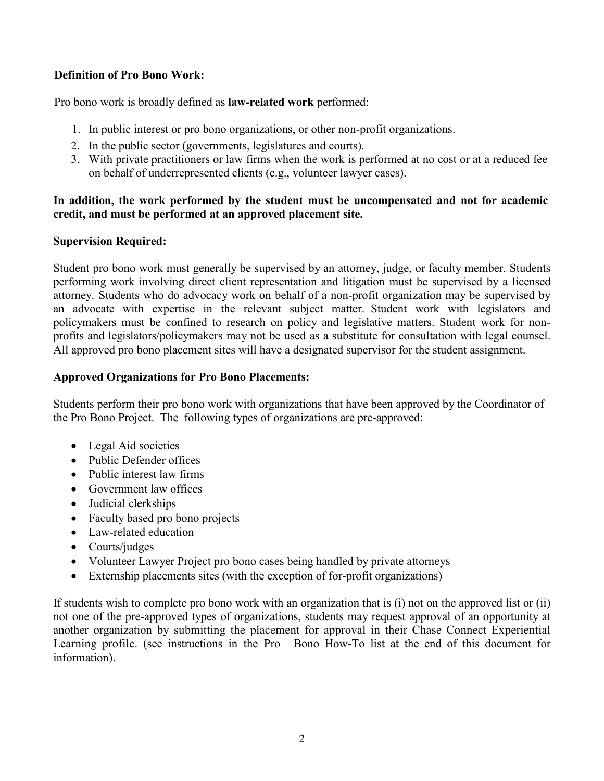# **Definition of Pro Bono Work:**

Pro bono work is broadly defined as **law-related work** performed:

- 1. In public interest or pro bono organizations, or other non-profit organizations.
- 2. In the public sector (governments, legislatures and courts).
- 3. With private practitioners or law firms when the work is performed at no cost or at a reduced fee on behalf of underrepresented clients (e.g., volunteer lawyer cases).

### **In addition, the work performed by the student must be uncompensated and not for academic credit, and must be performed at an approved placement site.**

### **Supervision Required:**

Student pro bono work must generally be supervised by an attorney, judge, or faculty member. Students performing work involving direct client representation and litigation must be supervised by a licensed attorney. Students who do advocacy work on behalf of a non-profit organization may be supervised by an advocate with expertise in the relevant subject matter. Student work with legislators and policymakers must be confined to research on policy and legislative matters. Student work for nonprofits and legislators/policymakers may not be used as a substitute for consultation with legal counsel. All approved pro bono placement sites will have a designated supervisor for the student assignment.

### **Approved Organizations for Pro Bono Placements:**

Students perform their pro bono work with organizations that have been approved by the Coordinator of the Pro Bono Project. The following types of organizations are pre-approved:

- Legal Aid societies
- Public Defender offices
- Public interest law firms
- Government law offices
- Judicial clerkships
- Faculty based pro bono projects
- Law-related education
- Courts/judges
- Volunteer Lawyer Project pro bono cases being handled by private attorneys
- Externship placements sites (with the exception of for-profit organizations)

If students wish to complete pro bono work with an organization that is (i) not on the approved list or (ii) not one of the pre-approved types of organizations, students may request approval of an opportunity at another organization by submitting the placement for approval in their Chase Connect Experiential Learning profile. (see instructions in the Pro Bono How-To list at the end of this document for information).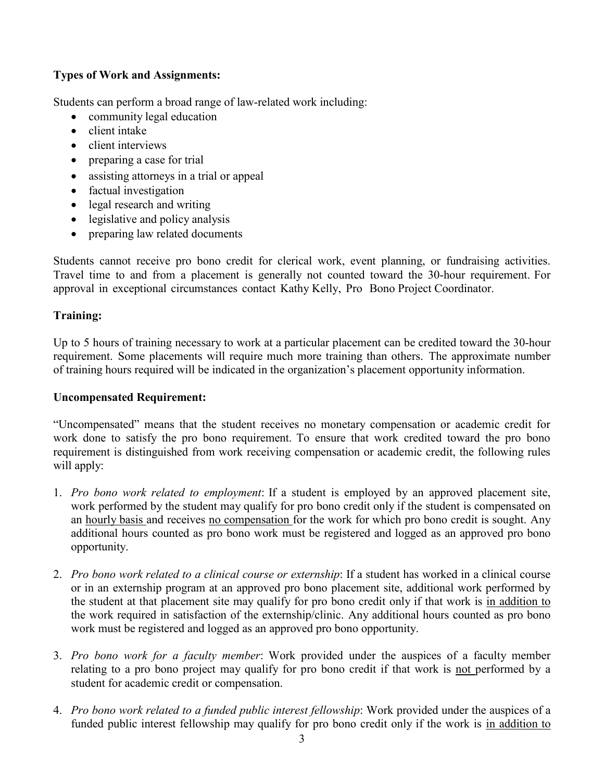# **Types of Work and Assignments:**

Students can perform a broad range of law-related work including:

- community legal education
- client intake
- client interviews
- preparing a case for trial
- assisting attorneys in a trial or appeal
- factual investigation
- legal research and writing
- legislative and policy analysis
- preparing law related documents

Students cannot receive pro bono credit for clerical work, event planning, or fundraising activities. Travel time to and from a placement is generally not counted toward the 30-hour requirement. For approval in exceptional circumstances contact Kathy Kelly, Pro Bono Project Coordinator.

## **Training:**

Up to 5 hours of training necessary to work at a particular placement can be credited toward the 30-hour requirement. Some placements will require much more training than others. The approximate number of training hours required will be indicated in the organization's placement opportunity information.

### **Uncompensated Requirement:**

"Uncompensated" means that the student receives no monetary compensation or academic credit for work done to satisfy the pro bono requirement. To ensure that work credited toward the pro bono requirement is distinguished from work receiving compensation or academic credit, the following rules will apply:

- 1. *Pro bono work related to employment*: If a student is employed by an approved placement site, work performed by the student may qualify for pro bono credit only if the student is compensated on an hourly basis and receives no compensation for the work for which pro bono credit is sought. Any additional hours counted as pro bono work must be registered and logged as an approved pro bono opportunity.
- 2. *Pro bono work related to a clinical course or externship*: If a student has worked in a clinical course or in an externship program at an approved pro bono placement site, additional work performed by the student at that placement site may qualify for pro bono credit only if that work is in addition to the work required in satisfaction of the externship/clinic. Any additional hours counted as pro bono work must be registered and logged as an approved pro bono opportunity.
- 3. *Pro bono work for a faculty member*: Work provided under the auspices of a faculty member relating to a pro bono project may qualify for pro bono credit if that work is not performed by a student for academic credit or compensation.
- 4. *Pro bono work related to a funded public interest fellowship*: Work provided under the auspices of a funded public interest fellowship may qualify for pro bono credit only if the work is in addition to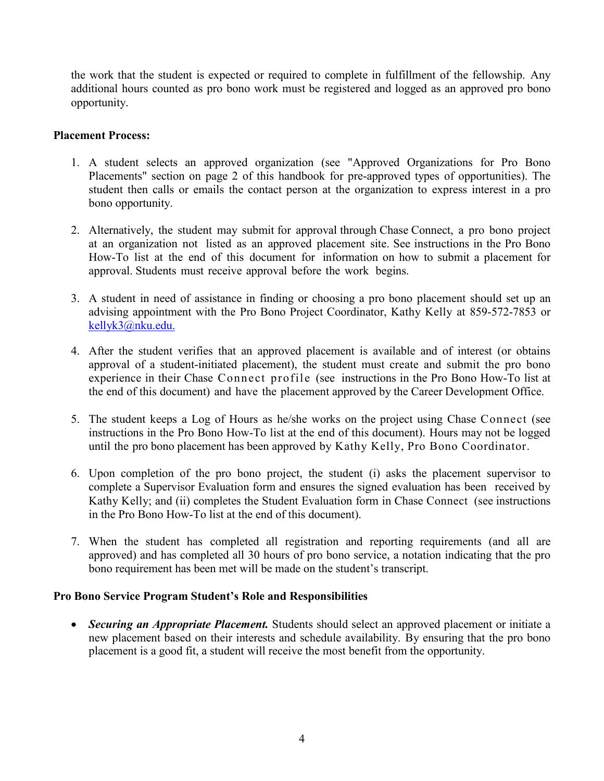the work that the student is expected or required to complete in fulfillment of the fellowship. Any additional hours counted as pro bono work must be registered and logged as an approved pro bono opportunity.

### **Placement Process:**

- 1. A student selects an approved organization (see "Approved Organizations for Pro Bono Placements" section on page 2 of this handbook for pre-approved types of opportunities). The student then calls or emails the contact person at the organization to express interest in a pro bono opportunity.
- 2. Alternatively, the student may submit for approval through Chase Connect, a pro bono project at an organization not listed as an approved placement site. See instructions in the Pro Bono How-To list at the end of this document for information on how to submit a placement for approval. Students must receive approval before the work begins.
- 3. A student in need of assistance in finding or choosing a pro bono placement should set up an advising appointment with the Pro Bono Project Coordinator, Kathy Kelly at 859-572-7853 or [kellyk3@nku.edu.](mailto:kellyk3@nku.edu.)
- 4. After the student verifies that an approved placement is available and of interest (or obtains approval of a student-initiated placement), the student must create and submit the pro bono experience in their Chase Connect profile (see instructions in the Pro Bono How-To list at the end of this document) and have the placement approved by the Career Development Office.
- 5. The student keeps a Log of Hours as he/she works on the project using Chase Connect (see instructions in the Pro Bono How-To list at the end of this document). Hours may not be logged until the pro bono placement has been approved by Kathy Kelly, Pro Bono Coordinator.
- 6. Upon completion of the pro bono project, the student (i) asks the placement supervisor to complete a Supervisor Evaluation form and ensures the signed evaluation has been received by Kathy Kelly; and (ii) completes the Student Evaluation form in Chase Connect (see instructions in the Pro Bono How-To list at the end of this document).
- 7. When the student has completed all registration and reporting requirements (and all are approved) and has completed all 30 hours of pro bono service, a notation indicating that the pro bono requirement has been met will be made on the student's transcript.

### **Pro Bono Service Program Student's Role and Responsibilities**

• *Securing an Appropriate Placement.* Students should select an approved placement or initiate a new placement based on their interests and schedule availability. By ensuring that the pro bono placement is a good fit, a student will receive the most benefit from the opportunity.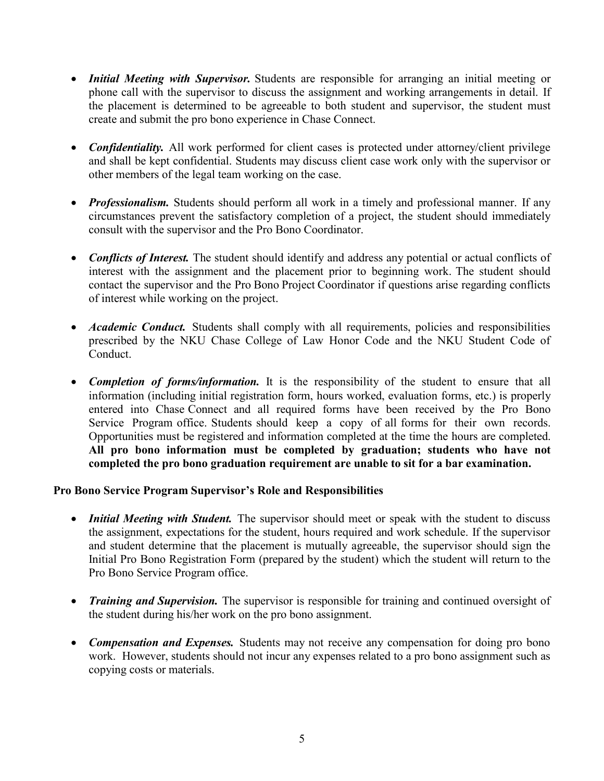- *Initial Meeting with Supervisor.* Students are responsible for arranging an initial meeting or phone call with the supervisor to discuss the assignment and working arrangements in detail. If the placement is determined to be agreeable to both student and supervisor, the student must create and submit the pro bono experience in Chase Connect.
- *Confidentiality*. All work performed for client cases is protected under attorney/client privilege and shall be kept confidential. Students may discuss client case work only with the supervisor or other members of the legal team working on the case.
- *Professionalism.* Students should perform all work in a timely and professional manner. If any circumstances prevent the satisfactory completion of a project, the student should immediately consult with the supervisor and the Pro Bono Coordinator.
- *Conflicts of Interest.* The student should identify and address any potential or actual conflicts of interest with the assignment and the placement prior to beginning work. The student should contact the supervisor and the Pro Bono Project Coordinator if questions arise regarding conflicts of interest while working on the project.
- *Academic Conduct*. Students shall comply with all requirements, policies and responsibilities prescribed by the NKU Chase College of Law Honor Code and the NKU Student Code of Conduct.
- *Completion of forms/information.* It is the responsibility of the student to ensure that all information (including initial registration form, hours worked, evaluation forms, etc.) is properly entered into Chase Connect and all required forms have been received by the Pro Bono Service Program office. Students should keep a copy of all forms for their own records. Opportunities must be registered and information completed at the time the hours are completed. **All pro bono information must be completed by graduation; students who have not completed the pro bono graduation requirement are unable to sit for a bar examination.**

## **Pro Bono Service Program Supervisor's Role and Responsibilities**

- *Initial Meeting with Student.* The supervisor should meet or speak with the student to discuss the assignment, expectations for the student, hours required and work schedule. If the supervisor and student determine that the placement is mutually agreeable, the supervisor should sign the Initial Pro Bono Registration Form (prepared by the student) which the student will return to the Pro Bono Service Program office.
- *Training and Supervision.* The supervisor is responsible for training and continued oversight of the student during his/her work on the pro bono assignment.
- *Compensation and Expenses.* Students may not receive any compensation for doing pro bono work. However, students should not incur any expenses related to a pro bono assignment such as copying costs or materials.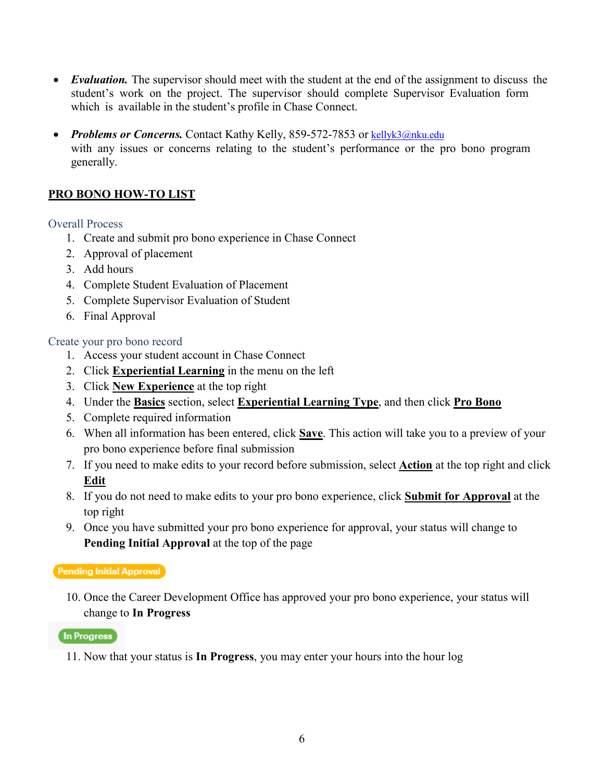- *Evaluation*. The supervisor should meet with the student at the end of the assignment to discuss the student's work on the project. The supervisor should complete Supervisor Evaluation form which is available in the student's profile in Chase Connect.
- *Problems or Concerns*. Contact Kathy Kelly, 859-572-7853 or [kellyk3@nku.edu](mailto:kellyk3@nku.edu) with any issues or concerns relating to the student's performance or the pro bono program generally.

## **PRO BONO HOW-TO LIST**

### Overall Process

- 1. Create and submit pro bono experience in Chase Connect
- 2. Approval of placement
- 3. Add hours
- 4. Complete Student Evaluation of Placement
- 5. Complete Supervisor Evaluation of Student
- 6. Final Approval

### Create your pro bono record

- 1. Access your student account in Chase Connect
- 2. Click **Experiential Learning** in the menu on the left
- 3. Click **New Experience** at the top right
- 4. Under the **Basics** section, select **Experiential Learning Type**, and then click **Pro Bono**
- 5. Complete required information
- 6. When all information has been entered, click **Save**. This action will take you to a preview of your pro bono experience before final submission
- 7. If you need to make edits to your record before submission, select **Action** at the top right and click **Edit**
- 8. If you do not need to make edits to your pro bono experience, click **Submit for Approval** at the top right
- 9. Once you have submitted your pro bono experience for approval, your status will change to **Pending Initial Approval** at the top of the page

### Pending Initial Approval

10. Once the Career Development Office has approved your pro bono experience, your status will change to **In Progress** 

In Progress

11. Now that your status is **In Progress**, you may enter your hours into the hour log